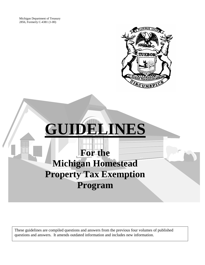Michigan Department of Treasury 2856, Formerly C-4381 (1-00)





These guidelines are compiled questions and answers from the previous four volumes of published questions and answers. It amends outdated information and includes new information.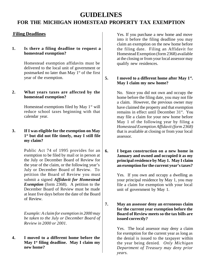# **GUIDELINES**

# **FOR THE MICHIGAN HOMESTEAD PROPERTY TAX EXEMPTION**

# **Filing Deadlines**

#### **1. Is there a filing deadline to request a homestead exemption?**

Homestead exemption affidavits must be delivered to the local unit of government or postmarked no later than May  $1<sup>st</sup>$  of the first year of the exemption.

#### **2. What years taxes are affected by the homestead exemption?**

Homestead exemptions filed by May  $1<sup>st</sup>$  will reduce school taxes beginning with that calendar year.

# **3. If I was eligible for the exemption on May 1 st but did not file timely, may I still file my claim?**

Public Act 74 of 1995 provides for an exemption to be filed by mail or in person at the July or December Board of Review for the year of the claim, or the following year's July or December Board of Review. To petition the Board of Review you must submit a signed *Affidavit for Homestead Exemption* (form 2368). A petition to the December Board of Review must be made at least five days before the date of the Board of Review.

*Example: A claim for exemption in 2000 may be taken to the July or December Board of Review in 2000 or 2001.*

**4. I moved to a different home before the May 1st filing deadline. May I claim my new home?**

Yes. If you purchase a new home and move into it before the filing deadline you may claim an exemption on the new home before the filing date. Filing an Affidavit for Homestead Exemption (form 2368) available at the closing or from your local assessor may qualify new residences.

# **5. I moved to a different home after May 1st . May I claim my new home?**

No. Since you did not own and occupy the home before the filing date, you may not file a claim. However, the previous owner may have claimed the property and that exemption remains in effect until December 31<sup>st</sup>. You may file a claim for your new home before May 1 of the following year by filing a *Homestead Exemption Affidavit (form 2368)* that is available at closing or from your local assessor.

**6. I began construction on a new home in January and owned and occupied it as my principal residence by May 1. May I claim an exemption for the current year's taxes?**

> Yes. If you own and occupy a dwelling as your principal residence by May 1, you may file a claim for exemption with your local unit of government by May 1.

**7. May an assessor deny an erroneous claim for the current year exemption before the Board of Review meets so the tax bills are issued correctly?**

> Yes. The local assessor may deny a claim for exemption for the current year as long as the denial is issued to the taxpayer within the year being denied*. Only Michigan Department of Treasury may deny prior years.*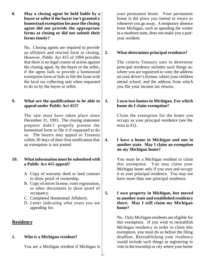**8. May a closing agent be held liable by a buyer or seller if the buyer isn't granted a homestead exemption because the closing agent did not provide the appropriate forms at closing or did not submit their forms timely?**

> No. Closing agents are required to provide an affidavit and rescind form at closing. However, Public Act 415 of 1994 provides that there is no legal course of action against the closing agent, by the buyer or the seller, if the agent fails to provide a homestead exemption form or fails to file the form with the local tax collecting unit when requested to do so by the buyer or seller.

# **9. What are the qualifications to be able to appeal under Public Act 415?**

The sale must have taken place since December 31, 1993. The closing statement preparer didn't properly present the homestead form or file it if requested to do so. The buyers may appeal to Treasury within 30 days of their first notification that an exemption is not posted.

# **10. What information must be submitted with a Public Act 415 appeal?**

- A. Copy of warranty deed or land contract to show proof of ownership.
- B. Copy of driver license, voter registration, or other documents to show proof of occupancy.
- C. Completed Homestead Affidavit.
- D. Letter indicating what years you are appealing for.

# **Residency**

# **1. Who is a Michigan resident?**

You are a Michigan resident if Michigan is

your permanent home. Your permanent home is the place you intend to return to whenever you go away. A temporary absence from Michigan, such as spending the winter in a southern state, does not make you a partyear resident.

# **2. What determines principal residence?**

The criteria Treasury uses to determine principal residence includes such things as: where you are registered to vote; the address on your driver's license; where your children attend school; and the address from which you file your income tax returns.

#### **3. I own two homes in Michigan. For which home do I claim exemption?**

Claim the exemption for the home you occupy as your principal residence (see the tests in #2).

**4. I have a home in Michigan and one in another state. May I claim an exemption on my Michigan home?**

> You must be a Michigan resident to claim this exemption. You may claim your Michigan home only if you own and occupy it as your principal residence. You may not have more than one principal residence.

#### **5. I own property in Michigan, but moved to another state and established residency there. May I still claim my Michigan home?**

No. Only Michigan residents are eligible for this exemption. If you wish to reestablish Michigan residency in order to claim this exemption, you must do so before the filing deadline. Reestablishing your residency would include such things as registering to vote in the township or city where your home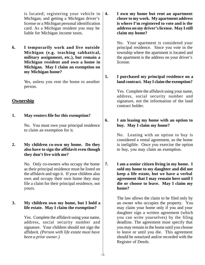is located; registering your vehicle in Michigan; and getting a Michigan driver's license or a Michigan personal identification card. As a Michigan resident you may be liable for Michigan income taxes.

**6. I temporarily work and live outside Michigan (e.g. teaching sabbatical, military assignment, etc.), but remain a Michigan resident and own a home in Michigan. May I claim an exemption on my Michigan home?**

> Yes, unless you rent the home to another person.

# **Ownership**

# **1. May renters file for this exemption?**

No. You must own your principal residence to claim an exemption for it.

# **2. My children co-own my home. Do they also have to sign the affidavit even though they don't live with me?**

No. Only co-owners who occupy the home as their principal residence must be listed on the affidavit and sign it. If your children also own and occupy their own home they may file a claim for their principal residence, not yours.

# **3. My children own my home, but I hold a life estate. May I claim the exemption?**

Yes. Complete the affidavit using your name, address, social security number and signature. Your children should not sign the affidavit*. (Person with life estate must have been a prior owner.)*

**4. I own my home but rent an apartment closer to my work. My apartment address is where I'm registered to vote and is the address on my driver's license. May I still claim my home?**

> No. Your apartment is considered your principal residence. Since you vote in the township where the apartment is located and the apartment is the address on your driver's license.

**5. I purchased my principal residence on a land contract. May I claim the exemption?**

> Yes. Complete the affidavit using your name, address, social security number and signature, not the information of the land contract holder.

**6. I am leasing my home with an option to buy. May I claim my home?**

> No. Leasing with an option to buy is considered a rental agreement, so the home is ineligible. Once you exercise the option to buy, you may claim an exemption.

**7. I am a senior citizen living in my home. I sold my home to my daughter and did not keep a life estate, but we have a verbal agreement that I may remain here until I die or choose to leave. May I claim my home?**

> The law allows the claim to be filed only by an owner who occupies the property. You may claim your home only if you and your daughter sign a written agreement (which you can write yourselves) by the filing deadline. The agreement must specify that you may remain in the home until you choose to leave or until you die. This agreement should be notarized and/or recorded with the Register of Deeds.

-3-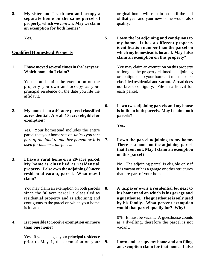**8. My sister and I each own and occupy a separate home on the same parcel of property, which we co-own. May we claim an exemption for both homes?**

Yes.

# **Qualified Homestead Property**

**1. I have moved several times in the last year. Which home do I claim?**

> You should claim the exemption on the property you own and occupy as your principal residence on the date you file the affidavit.

# **2. My home is on a 40-acre parcel classified as residential. Are all 40 acres eligible for exemption?**

Yes. Your homestead includes the entire parcel that your home sets on, *unless you rent part of the land to another person or it is used for business purposes.*

**3. I have a rural home on a 20-acre parcel. My home is classified as residential property. I also own the adjoining 80-acre residential vacant, parcel. What may I claim?**

> You may claim an exemption on both parcels since the 80 acre parcel is classified as residential property and is adjoining and contiguous to the parcel on which your home is located.

# **4. Is it possible to receive exemption on more than one home?**

Yes. If you changed your principal residence prior to May 1, the exemption on your

-4-

original home will remain on until the end of that year and your new home would also qualify.

**5. I own the lot adjoining and contiguous to my home. It has a different property identification number than the parcel on which my homestead is located. May I also claim an exemption on this property?**

> You may claim an exemption on this property as long as the property claimed is adjoining or contiguous to your home. It must also be classified residential and vacant. A road does not break contiguity. File an affidavit for each parcel.

**6. I own two adjoining parcels and my house is built on both parcels. May I claim both parcels?**

Yes.

**7. I own the parcel adjoining to my home. There is a home on the adjoining parcel that I rent out. May I claim an exemption on this parcel?**

> No. The adjoining parcel is eligible only if it is vacant or has a garage or other structures that are part of your home.

**8. A taxpayer owns a residential lot next to his homestead on which is his garage and a guesthouse. The guesthouse is only used by his family. What percent exemption would that parcel qualify for? Why?**

> 0%. It must be vacant. A guesthouse counts as a dwelling, therefore the parcel is not vacant.

#### **9. I own and occupy my home and am filing an exemption claim for that home. I also**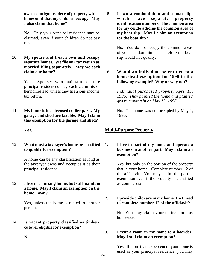**own a contiguous piece of property with a home on it that my children occupy. May I also claim that home?**

No. Only your principal residence may be claimed, even if your children do not pay rent.

**10. My spouse and I each own and occupy separate homes. We file our tax return as married filing separately. May we each claim our home?**

> Yes. Spouses who maintain separate principal residences may each claim his or her homestead, unless they file a joint income tax return.

**11. My home is in a licensed trailer park. My garage and shed are taxable. May I claim this exemption for the garage and shed?**

Yes.

**12. What must a taxpayer's home be classified to qualify for exemption?**

> A home can be any classification as long as the taxpayer owns and occupies it as their principal residence.

**13. I live in a nursing home, but still maintain a home. May I claim an exemption on the home I own?**

> Yes, unless the home is rented to another person.

> > -5-

**14. Is vacant property classified as timbercutover eligible for exemption?**

No.

**15. I own a condominium and a boat slip, which have separate property identification numbers. The common area for my condo adjoins the common area of my boat slip. May I claim an exemption for the boat slip?**

> No. You do not occupy the common areas of your condominium. Therefore the boat slip would not qualify.

**16. Would an individual be entitled to a homestead exemption for 1996 in the following example? Why or why not?**

> *Individual purchased property April 15, 1996. They painted the home and planted grass, moving in on May 15, 1996.*

> No. The home was not occupied by May 1, 1996.

# **Multi-Purpose Property**

**1. I live in part of my home and operate a business in another part. May I claim an exemption?**

> Yes, but only on the portion of the property that is your home. Complete number 12 of the affidavit. You may claim the partial exemption even if the property is classified as commercial.

**2. I provide childcare in my home. Do I need to complete number 12 of the affidavit?**

> No. You may claim your entire home as homestead

**3. I rent a room in my home to a boarder. May I still claim an exemption?**

> Yes. If more that 50 percent of your home is used as your principal residence, you may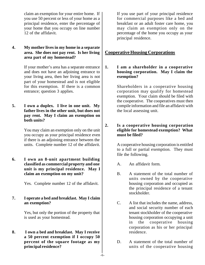claim an exemption for your entire home. If you use 50 percent or less of your home as a principal residence, enter the percentage of your home that you occupy on line number 12 of the affidavit.

**4. My mother lives in my home in a separate area. She does not pay rent. Is her living area part of my homestead?**

> If your mother's area has a separate entrance and does not have an adjoining entrance to your living area, then her living area is not part of your homestead and is not eligible for this exemption. If there is a common entrance; question 3 applies.

**5. I own a duplex. I live in one unit. My father lives in the other unit, but does not pay rent. May I claim an exemption on both units?**

> You may claim an exemption only on the unit you occupy as your principal residence even if there is an adjoining entrance between the units. Complete number 12 of the affidavit.

**6. I own an 8-unit apartment building classified as commercial property and one unit is my principal residence. May I claim an exemption on my unit?**

Yes. Complete number 12 of the affidavit.

**7. I operate a bed and breakfast. May I claim an exemption?**

> Yes, but only the portion of the property that is used as your homestead.

**8. I own a bed and breakfast. May I receive a 50 percent exemption if I occupy 50 percent of the square footage as my principal residence?**

If you use part of your principal residence for commercial purposes like a bed and breakfast or an adult foster care home, you may claim an exemption only on the percentage of the home you occupy as your principal residence.

# **Cooperative Housing Corporations**

**1. I am a shareholder in a cooperative housing corporation. May I claim the exemption?**

> Shareholders in a cooperative housing corporation may qualify for homestead exemption. Your claim should be filed with the cooperative. The cooperatives must then compile information and file an affidavit with the local assessing unit.

# **2. Is a cooperative housing corporation eligible for homestead exemption? What must be filed?**

A cooperative housing corporation is entitled to a full or partial exemption. They must file the following.

- A. An affidavit form.
- B. A statement of the total number of units owned by the cooperative housing corporation and occupied as the principal residence of a tenant stockholder.
- C. A list that includes the name, address, and social security number of each tenant stockholder of the cooperative housing corporation occupying a unit in the cooperative housing corporation as his or her principal residence.
- D. A statement of the total number of units of the cooperative housing

-6-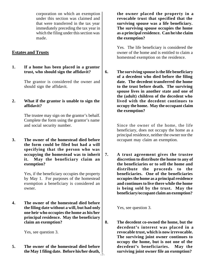corporation on which an exemption under this section was claimed and that were transferred in the tax year immediately preceding the tax year in which the filing under this section was made.

# **Estates and Trusts**

# **1. If a home has been placed in a grantor trust, who should sign the affidavit?**

The grantor is considered the owner and should sign the affidavit.

#### **2. What if the grantor is unable to sign the affidavit?**

The trustee may sign on the grantor's behalf. Complete the form using the grantor's name and social security number.

**3. The owner of the homestead died before the form could be filed but had a will specifying that the person who was occupying the homestead was to inherit it. May the beneficiary claim an exemption?**

> Yes, if the beneficiary occupies the property by May 1. For purposes of the homestead exemption a beneficiary is considered an owner.

**4. The owner of the homestead died before the filing date without a will, but had only one heir who occupies the home as his/her principal residence. May the beneficiary claim an exemption?**

Yes, see question 3.

**5. The owner of the homestead died before the May 1 filing date. Before his/her death,** -7**the owner placed the property in a revocable trust that specified that the surviving spouse was a life beneficiary. The surviving spouse occupies the home as a principal residence. Can he/she claim the exemption?**

Yes. The life beneficiary is considered the owner of the home and is entitled to claim a homestead exemption on the residence.

**6. The surviving spouse is the life beneficiary of a decedent who died before the filing date. The decedent transferred the home to the trust before death. The surviving spouse lives in another state and one of the (adult) children of the decedent who lived with the decedent continues to occupy the home. May the occupant claim the exemption?**

> Since the owner of the home, the life beneficiary, does not occupy the home as a principal residence, neither the owner nor the occupant may claim an exemption.

**7. A trust agreement gives the trustee discretion to distribute the home to any of the beneficiaries or to sell the home and distribute the proceeds to the beneficiaries. One of the beneficiaries occupies the home as a principal residence and continues to live there while the home is being sold by the trust. May the beneficiary/occupant claim an exemption?**

Yes, see question 3.

**8. The decedent co-owned the home, but the decedent's interest was placed in a revocable trust, which is now irrevocable. The surviving joint owner continues to occupy the home, but is not one of the decedent's beneficiaries. May the surviving joint owner file an exemption?**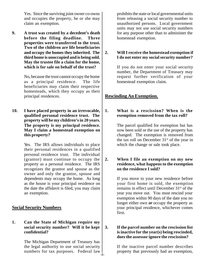Yes. Since the surviving joint owner co-owns and occupies the property, he or she may claim an exemption.

**9. A trust was created by a decedent's death before the filing deadline. Three properties were transferred to the trust. Two of the children are life beneficiaries and occupy the homes they inherited. The third home is unoccupied and is being sold. May the trustee file a claim for the home, which is for sale on behalf of the trust?**

> No, because the trust cannot occupy the home as a principal residence. The life beneficiaries may claim their respective homesteads, which they occupy as their principal residences.

**10. I have placed property in an irrevocable, qualified personal residence trust. The property will be my children's in 20 years. The property is my principal residence. May I claim a homestead exemption on this property?**

> Yes. The IRS allows individuals to place their personal residences in a qualified personal residence trust. The individual (grantor) must continue to occupy the property as a personal residence. The IRS recognizes the grantor and spouse as the owner and only the grantor, spouse and dependents may occupy the home. As long as the house is your principal residence on the date the affidavit is filed, you may claim an exemption.

# **Social Security Numbers**

# **1. Can the State of Michigan require my social security number? Will it be kept confidential?**

The Michigan Department of Treasury has the legal authority to use social security numbers for tax purposes. Federal law -8prohibits the state or local governmental units from releasing a social security number to unauthorized persons. Local government units may not use social security numbers for any purpose other than to administer the homestead exemption.

# **2. Will I receive the homestead exemption if I do not enter my social security number?**

If you do not enter your social security number, the Department of Treasury may request further verification of your homestead exemption claim.

# **Rescinding An Exemption.**

**1. What is a rescission? When is the exemption removed from the tax roll?**

> The parcel qualified for exemption but has now been sold or the use of the property has changed. The exemption is removed from the tax roll on December 31<sup>st</sup> of the year in which the change or sale took place.

**2. When I file an exemption on my new residence, what happens to the exemption on the residence I sold?**

> If you move to your new residence before your first home is sold, the exemption remains in effect until December 31<sup>st</sup> of the year you move out. You must rescind your exemption within 90 days of the date you no longer either own *or* occupy the property as your principal residence, whichever comes first.

# **3. If the parcel number on the rescission list is inactive for the year(s) being rescinded, does the assessor ignore the rescission?**

If the inactive parcel number describes property that previously had an exemption,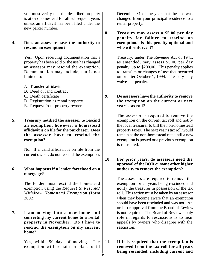you must verify that the described property is at 0% homestead for all subsequent years unless an affidavit has been filed under the new parcel number.

#### **4. Does an assessor have the authority to rescind an exemption?**

Yes. Upon receiving documentation that a property has been sold or the use has changed an assessor may rescind the exemption. Documentation may include, but is not limited to:

- A. Transfer affidavit
- B. Deed or land contract
- C. Death certificate
- D. Registration as rental property
- E. Request from property owner
- **5. Treasury notified the assessor to rescind an exemption, however, a homestead affidavit is on file for the purchaser. Does the assessor have to rescind the exemption?**

No. If a valid affidavit is on file from the current owner, do not rescind the exemption.

#### **6. What happens if a lender foreclosed on a mortgage?**

The lender must rescind the homestead exemption using the *Request to Rescind/ Withdraw Homestead Exemption* (form 2602).

**7. I am moving into a new home and converting my current home to a rental property in November. Do I have to rescind the exemption on my current home?**

> Yes, within 90 days of moving. The exemption will remain in place until

December 31 of the year that the use was changed from your principal residence to a rental property.

**8. Treasury may assess a \$5.00 per day penalty for failure to rescind an exemption. Is this penalty optional and who will enforce it?**

> Treasury, under The Revenue Act of 1941, as amended, may assess \$5.00 per day penalty, up to \$200.00. This penalty applies to transfers or changes of use that occurred on or after October 1, 1994. Treasury may waive the penalty.

**9. Do assessors have the authority to remove the exemption on the current or next year's tax roll?**

> The assessor is required to remove the exemption on the current tax roll and notify the local treasurer to bill the non-homestead property taxes. The next year's tax roll would remain at the non-homestead rate until a new exemption is posted or a previous exemption is reinstated.

**10. For prior years, do assessors need the approval of the BOR or some other higher authority to remove the exemption?**

> The assessors are required to remove the exemption for all years being rescinded and notify the treasurer in possession of the tax roll. This action must be taken by an assessor when they become aware that an exemption should have been rescinded and was not. An order or approval from the Board of Review is not required. The Board of Review's only role in regards to rescissions is to hear appeals by owners who disagree with the rescission.

**11. If it is required that the exemption is removed from the tax roll for all years being rescinded, including current and**  $\frac{1}{2}$ -9-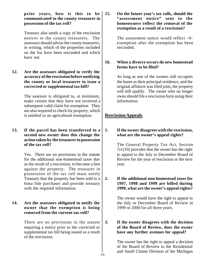**prior years, how is this to be communicated to the county treasurer in possession of the tax roll?**

Treasury also sends a copy of the rescission notices to the county treasurers. The assessors should advise the county treasurers, in writing, which of the properties included on the list have been rescinded and which have not.

**12. Are the assessors obligated to verify the accuracy of the rescission before notifying the county or local treasurer to issue a corrected or supplemental tax bill?**

> The assessor is obligated to, at minimum, make certain that they have not received a subsequent valid claim for exemption. They are also required to check for property, which is entitled to an agricultural exemption.

# **13. If the parcel has been transferred to a second new owner does this change the action taken by the treasurer in possession of the tax roll?**

Yes. There are no provisions in the statute for the additional non-homestead taxes due as the result of a rescission, to become a lien against the property. The treasurer in possession of the tax roll must notify Treasury that the property has been sold to a bona fide purchaser and provide treasury with the required information.

# **14. Are the assessors obligated to notify the owner that the exemption is being removed from the current tax roll?**

There are no provisions in the statute requiring a notice prior to the corrected or supplemental tax bill being issued as a result of the rescission.

**15. On the future year's tax rolls, should the "assessment notice" sent to the homeowners reflect the removal of the exemption as a result of a rescission?**

> The assessment notice would reflect –0 exemption after the exemption has been rescinded.

# **16. When a divorce occurs do new homestead forms have to be filed?**

As long as one of the owners still occupies the home as their principal residence, and the original affidavit was filed joint, the property will still qualify. The owner who no longer owns should file a rescission form using their information.

# **Rescission Appeals**

# **1. If the owner disagrees with the rescission, what are the owner's appeal rights?**

The General Property Tax Act, Section 7cc(10) provides that the owner has the right to appeal to the July or December Board of Review for the year of rescission or the next year.

#### **2. If the additional non-homestead taxes for 1997, 1998 and 1999 are billed during 1999, what are the owner's appeal rights?**

The owner would have the right to appeal to the July or December Board of Review in 1999 or 2000 for all three years.

# **3. If the owner disagrees with the decision of the Board of Review, does the owner have any further avenues for appeal?**

The owner has the right to appeal a decision of the Board of Review to the Residential and Small Claims Division of the Michigan

-10-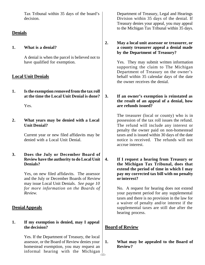Tax Tribunal within 35 days of the board's decision.

# **Denials**

**1. What is a denial?**

A denial is when the parcel is believed not to have qualified for exemption.

# **Local Unit Denials**

**1. Is the exemption removed from the tax roll at the time the Local Unit Denial is done?**

Yes.

**2. What years may be denied with a Local Unit Denial?**

> Current year or new filed affidavits may be denied with a Local Unit Denial.

**3. Does the July or December Board of Review have the authority to do Local Unit Denials?**

> Yes, on new filed affidavits. The assessor and the July or December Boards of Review may issue Local Unit Denials. *See page 10 for more information on the Boards of Review.*

# **Denial Appeals**

# **1. If my exemption is denied, may I appeal the decision?**

Yes. If the Department of Treasury, the local assessor, or the Board of Review denies your homestead exemption, you may request an informal hearing with the Michigan Department of Treasury, Legal and Hearings Division within 35 days of the denial. If Treasury denies your appeal, you may appeal to the Michigan Tax Tribunal within 35 days.

**2. May a local unit assessor or treasurer, or a county treasurer appeal a denial made by the Department of Treasury?**

> Yes. They may submit written information supporting the claim to The Michigan Department of Treasury on the owner's behalf within 35 calendar days of the date the owner receives the denial.

**3. If an owner's exemption is reinstated as the result of an appeal of a denial, how are refunds issued?**

> The treasurer (local or county) who is in possession of the tax roll issues the refund. The refund will include any interest or penalty the owner paid on non-homestead taxes and is issued within 30 days of the date notice is received. The refunds will not accrue interest.

**4. If I request a hearing from Treasury or the Michigan Tax Tribunal, does that extend the period of time in which I may pay my corrected tax bill with no penalty or interest?**

> No. A request for hearing does not extend your payment period for any supplemental taxes and there is no provision in the law for a waiver of penalty and/or interest if the supplemental taxes are still due after the hearing process.

# **Board of Review**

**1. What may be appealed to the Board of Review?**

-11-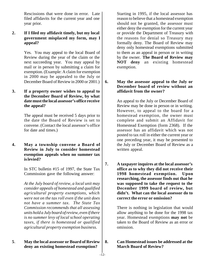Rescissions that were done in error. Late filed affidavits for the current year and one year prior.

# **2. If I filed my affidavit timely, but my local government misplaced my form, may I appeal?**

Yes. You may appeal to the local Board of Review during the year of the claim or the next succeeding year. You may appeal by mail or in person by submitting a claim for exemption. (Example: A claim for exemption in 2000 may be appealed to the July or December Board of Review in 2000 or 2001.)

# **3. If a property owner wishes to appeal to the December Board of Review, by what date must the local assessor's office receive the appeal?**

The appeal must be received 5 days prior to the date the Board of Review is set to convene. (Contact the local assessor's office for date and times.)

**4. May a township convene a Board of Review in July to consider homestead exemption appeals when no summer tax is levied?**

> In STC bulletin #15 of 1997, the State Tax Commission gave the following answer:

*At the July board of review, a local unit may consider appeals of homestead and qualified agricultural property exemptions, which were not on the tax roll even if the unit does not have a summer tax. The State Tax Commission recommends that all assessing units hold a July board of review, even if there is no summer levy of local school operating taxes, if there is homestead or qualified agricultural property exemption business.*

# **5**. **May the local assessor or Board of Review deny an existing homestead exemption?**

Starting in 1995, if the local assessor has reason to believe that a homestead exemption should not be granted, the assessor must either deny the exemption for the current year or provide the Department of Treasury with the reasons for denial so Treasury may formally deny. The Board of Review may deny only homestead exemptions submitted to them as an appeal in person or in writing by the owner. **The Board of Review may NOT deny** an existing homestead exemption.

#### **6. May the assessor appeal to the July or December board of review without an affidavit from the owner?**

An appeal to the July or December Board of Review may be done in person or in writing. However, to appeal to the board for a homestead exemption, the owner must complete and submit an Affidavit for Homestead Exemption (form 2368). If the assessor has an affidavit which was not posted to tax roll in either the current year or one preceding year, it may be presented to the July or December Board of Review as a written appeal.

**7. A taxpayer inquires at the local assessor's office as to why they did not receive their 1998 homestead exemption. Upon researching, the assessor finds out that he was supposed to take the request to the December 1999 board of review, but didn't. What can the local assessor do to correct the error or omission?**

> There is nothing in legislation that would allow anything to be done for the 1998 tax year. Homestead exemptions **may not** be taken to the Board of Review as an error or omission.

# **8. Can Homestead issues be addressed at the March Board of Review?**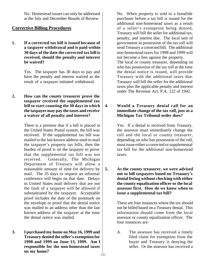No. Homestead issues can only be addressed at the July and December Boards of Review.

# **Corrective Billing Procedures**

**1. If a corrected tax bill is issued because of a taxpayer withdrawal and is paid within 30 days of the date the corrected tax bill is received, should the penalty and interest be waived?**

> Yes. The taxpayer has 30 days to pay and have the penalty and interest waived as the result of a taxpayer initiated withdrawal.

**2. How can the county treasurer prove the taxpayer received the supplemental tax bill to start counting the 30 days in which the taxpayer may pay the taxes and receive a waiver of all penalty and interest?**

> There is a premise that if a bill is placed in the United States Postal system, the bill was received. If the supplemental tax bill was mailed to the last known address used to mail the taxpayer's property tax bills, then the burden of proof is on the taxpayer to prove that the supplemental tax bill was not received. Generally, The Michigan Department of Treasury will allow a reasonable amount of time for delivery by mail. The 35 days to request an informal conference will begin on that date. Delays in United States mail delivery that are not the fault of a taxpayer will be allowed if substantiated by the taxpayer. Acceptable proof includes the date of the postmark on the envelope or proof that the denial notice was mailed to an address other than the last known address of the taxpayer at the time the denial notice was mailed.

**3. I purchased my home on May 16, 1999 and Treasury denied the seller's exemption for 1998 and 1999 on June 13, 1999. Am I responsible for the non-homestead taxes on my home?**

No. When property is sold to a bonafide purchaser before a tax bill is issued for the additional non-homestead taxes as a result of a seller's exemption being denied, Treasury will bill the seller for additional tax, penalty, and interest due. The local unit of government in possession of the tax roll will send Treasury a corrected bill. The additional non-homestead taxes for 1998 and 1999 will not become a lien against the property. The local or county treasurer, depending on who has possession of the tax roll at the time the denial notice is issued, will provide Treasury with the additional taxes due. Treasury will bill the seller for the additional taxes plus the applicable penalty and interest under The Revenue Act, P.A. 122 of 1942.

# **4. Would a Treasury denial call for an immediate change of the tax roll, just as a Michigan Tax Tribunal order does?**

Yes. If a denial is received from Treasury, the assessor must immediately change the roll and the local or county treasurer, depending on who has possession of the roll, must issue either a corrected or supplemental tax bill for the additional non-homestead taxes.

**5. As the county treasurer, we were advised not to bill taxpayers based on Treasury's denial listing without checking with either the county equalization officer or the local assessor first. How do we know when to issue a supplemental tax bill?**

> There are four instances where the tax should not be billed based on a Treasury denial. This information should come from the local assessor or county equalization officer. The four instances are:

> A. The assessor has received a timely filed claim for exemption from the buyer and Treasury is denying the seller. Or the assessor has received a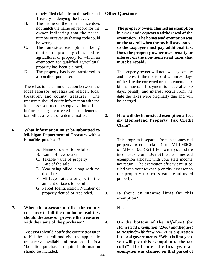timely filed claim from the seller and Treasury is denying the buyer.

- B. The name on the denial notice does not match the name on record for the owner indicating that the parcel number or revenue sharing code could be wrong.
- C. The homestead exemption is being denied for property classified as agricultural or property for which an exemption for qualified agricultural property has been claimed.
- D. The property has been transferred to a bonafide purchaser.

There has to be communication between the local assessor, equalization officer, local treasurer, and county treasurer. The treasurers should verify information with the local assessor or county equalization officer before issuing a corrected or supplemental tax bill as a result of a denial notice.

# **6. What information must be submitted to Michigan Department of Treasury with a bonafide purchase?**

- A. Name of owner to be billed
- B. Name of new owner
- C. Taxable value of property
- D. Date of the sale
- E. Year being billed, along with the due date
- F. Millage rate, along with the amount of taxes to be billed.
- G. Parcel Identification Number of property denied or rescinded.

#### **7. When the assessor notifies the county treasurer to bill the non-homestead tax, should the assessor provide the treasurer with the name of the purchaser?**

Assessors should notify the county treasurer to bill the tax roll and give the applicable treasurer all available information. If it is a "bonafide purchase", required information should be included.

# **Other Questions**

**1. The property owner claimed an exemption in error and requests a withdrawal of the exemption. The homestead exemption was on the tax roll when the tax bill was issued, so the taxpayer must pay additional tax. Does the property owner owe penalty or interest on the non-homestead taxes that must be repaid?**

> The property owner will not owe any penalty and interest if the tax is paid within 30 days of the date the corrected or supplemental tax bill is issued. If payment is made after 30 days, penalty and interest accrue from the date the taxes were originally due and will be charged.

# **2. How will the homestead exemption affect my Homestead Property Tax Credit Claim?**

This program is separate from the homestead property tax credit claim (form MI-1040CR or MI-1040CR-2) filed with your state income tax return. **Do not** file the homestead exemption affidavit with your state income tax return. The exemption affidavit must be filed with your township or city assessor so the property tax rolls can be adjusted properly.

# **3. Is there an income limit for this exemption?**

No.

**4. On the bottom of the** *Affidavit for Homestead Exemption (2368) and Request to Rescind/Withdraw (2602)***, is a question for local governments, "What is first year you will post this exemption to the tax roll?" Do I enter the first year an exemption was claimed on that parcel of**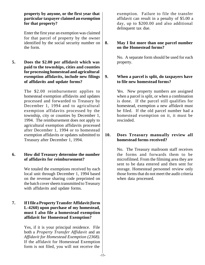**property by anyone, or the first year that particular taxpayer claimed an exemption for that property?**

Enter the first year an exemption was claimed for that parcel of property by the owner identified by the social security number on the form.

**5. Does the \$2.00 per affidavit which was paid to the townships, cities and counties for processing homestead and agricultural exemption affidavits, include new filings of affidavits and update forms?**

> The \$2.00 reimbursement applies to homestead exemption affidavits and updates processed and forwarded to Treasury by December 1, 1994 and to agricultural exemption affidavits processed by the township, city or counties by December 1, 1994. The reimbursement does not apply to agricultural exemption affidavits processed after December 1, 1994 or to homestead exemption affidavits or updates submitted to Treasury after December 1, 1994.

# **6. How did Treasury determine the number of affidavits for reimbursement?**

We totaled the exemptions received by each local unit through December 1, 1994 based on the revenue sharing code preprinted on the batch cover sheets transmitted to Treasury with affidavits and update forms.

# **7. If I file a Property Transfer Affidavit(form L-4260) upon purchase of my homestead, must I also file a homestead exemption affidavit for Homestead Exemption?**

Yes, if it is your principal residence. File both a *Property Transfer Affidavit* and an *Affidavit for Homestead Exemption (2368)*. If the affidavit for Homestead Exemption form is not filed, you will not receive the

exemption. Failure to file the transfer affidavit can result in a penalty of \$5.00 a day, up to \$200.00 and also additional delinquent tax due.

# **8. May I list more than one parcel number on the Homestead forms?**

No. A separate form should be used for each property.

# **9. When a parcel is split, do taxpayers have to file new homestead forms?**

Yes. New property numbers are assigned when a parcel is split, or when a combination is done. If the parcel still qualifies for homestead, exemption a new affidavit must be filed. If the old parcel number had a homestead exemption on it, it must be rescinded.

# **10. Does Treasury manually review all homestead forms received?**

No. The Treasury mailroom staff receives the forms and forwards them to be microfilmed. From the filmimg area they are sent to be data entered and then sent for storage. Homestead personnel review only those forms that do not meet the audit criteria when data processed.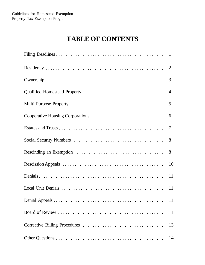# **TABLE OF CONTENTS**

| Filing Deadlines 1       |  |
|--------------------------|--|
| Residency 2              |  |
| Ownership 3              |  |
|                          |  |
| Multi-Purpose Property 5 |  |
|                          |  |
|                          |  |
|                          |  |
|                          |  |
| Rescission Appeals 10    |  |
|                          |  |
|                          |  |
|                          |  |
|                          |  |
|                          |  |
|                          |  |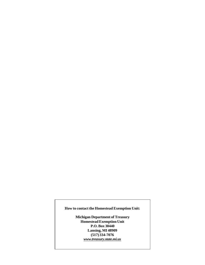#### **How to contact the Homestead Exemption Unit:**

**Michigan Department of Treasury Homestead Exemption Unit P.O. Box 30440 Lansing, MI 48909 (517) 334-7076** *www.treasury.state.mi.us*